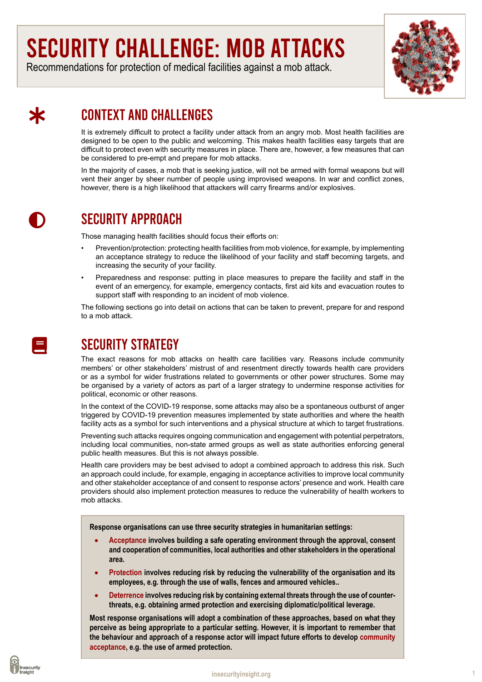# Security challenge: MOB ATTACKS

Recommendations for protection of medical facilities against a mob attack.



# context and challenges

It is extremely difficult to protect a facility under attack from an angry mob. Most health facilities are designed to be open to the public and welcoming. This makes health facilities easy targets that are difficult to protect even with security measures in place. There are, however, a few measures that can be considered to pre-empt and prepare for mob attacks.

In the majority of cases, a mob that is seeking justice, will not be armed with formal weapons but will vent their anger by sheer number of people using improvised weapons. In war and conflict zones, however, there is a high likelihood that attackers will carry firearms and/or explosives.

# $\mathbf 0$

氺

# SECURITY APPROACH

Those managing health facilities should focus their efforts on:

- Prevention/protection: protecting health facilities from mob violence, for example, by implementing an acceptance strategy to reduce the likelihood of your facility and staff becoming targets, and increasing the security of your facility.
- Preparedness and response: putting in place measures to prepare the facility and staff in the event of an emergency, for example, emergency contacts, first aid kits and evacuation routes to support staff with responding to an incident of mob violence.

The following sections go into detail on actions that can be taken to prevent, prepare for and respond to a mob attack.

# SECURITY STRATEGY

The exact reasons for mob attacks on health care facilities vary. Reasons include community members' or other stakeholders' mistrust of and resentment directly towards health care providers or as a symbol for wider frustrations related to governments or other power structures. Some may be organised by a variety of actors as part of a larger strategy to undermine response activities for political, economic or other reasons.

In the context of the COVID-19 response, some attacks may also be a spontaneous outburst of anger triggered by COVID-19 prevention measures implemented by state authorities and where the health facility acts as a symbol for such interventions and a physical structure at which to target frustrations.

Preventing such attacks requires ongoing communication and engagement with potential perpetrators, including local communities, non-state armed groups as well as state authorities enforcing general public health measures. But this is not always possible.

Health care providers may be best advised to adopt a combined approach to address this risk. Such an approach could include, for example, engaging in acceptance activities to improve local community and other stakeholder acceptance of and consent to response actors' presence and work. Health care providers should also implement protection measures to reduce the vulnerability of health workers to mob attacks.

**Response organisations can use three security strategies in humanitarian settings:**

- Acceptance involves building a safe operating environment through the approval, consent **and cooperation of communities, local authorities and other stakeholders in the operational area.**
- Protection involves reducing risk by reducing the vulnerability of the organisation and its **employees, e.g. through the use of walls, fences and armoured vehicles..**
- Deterrence involves reducing risk by containing external threats through the use of counter**threats, e.g. obtaining armed protection and exercising diplomatic/political leverage.**

**Most response organisations will adopt a combination of these approaches, based on what they perceive as being appropriate to a particular setting. However, it is important to remember that the behaviour and approach of a response actor will impact future efforts to develop [community]( https://www.eisf.eu/wp-content/uploads/2017/04/EISF_Security-to-go_guide_Module-4_Security-strategies_Acceptance-protection-and-deterrence-2nd-ed.pdf) [acceptance]( https://www.eisf.eu/wp-content/uploads/2017/04/EISF_Security-to-go_guide_Module-4_Security-strategies_Acceptance-protection-and-deterrence-2nd-ed.pdf), e.g. the use of armed protection.**



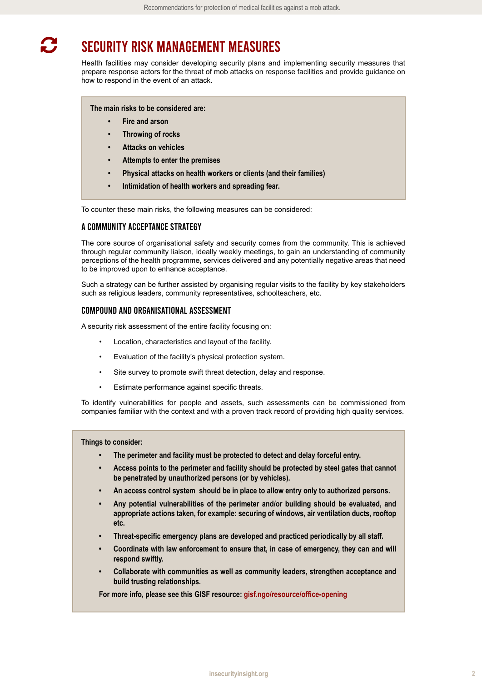#### Security risk management measures  $\boldsymbol{C}$

Health facilities may consider developing security plans and implementing security measures that prepare response actors for the threat of mob attacks on response facilities and provide guidance on how to respond in the event of an attack.

**The main risks to be considered are:**

- **• Fire and arson**
- **• Throwing of rocks**
- **• Attacks on vehicles**
- **• Attempts to enter the premises**
- **• Physical attacks on health workers or clients (and their families)**
- **• Intimidation of health workers and spreading fear.**

To counter these main risks, the following measures can be considered:

#### A Community Acceptance Strategy

The core source of organisational safety and security comes from the community. This is achieved through regular community liaison, ideally weekly meetings, to gain an understanding of community perceptions of the health programme, services delivered and any potentially negative areas that need to be improved upon to enhance acceptance.

Such a strategy can be further assisted by organising regular visits to the facility by key stakeholders such as religious leaders, community representatives, schoolteachers, etc.

#### COMPOUND AND ORGANISATIONAL ASSESSMENT

A security risk assessment of the entire facility focusing on:

- Location, characteristics and layout of the facility.
- Evaluation of the facility's physical protection system.
- Site survey to promote swift threat detection, delay and response.
- Estimate performance against specific threats.

To identify vulnerabilities for people and assets, such assessments can be commissioned from companies familiar with the context and with a proven track record of providing high quality services.

#### **Things to consider:**

- **• The perimeter and facility must be protected to detect and delay forceful entry.**
- **• Access points to the perimeter and facility should be protected by steel gates that cannot be penetrated by unauthorized persons (or by vehicles).**
- **• An access control system should be in place to allow entry only to authorized persons.**
- **• Any potential vulnerabilities of the perimeter and/or building should be evaluated, and appropriate actions taken, for example: securing of windows, air ventilation ducts, rooftop etc.**
- **• Threat-specific emergency plans are developed and practiced periodically by all staff.**
- **• Coordinate with law enforcement to ensure that, in case of emergency, they can and will respond swiftly.**
- **• Collaborate with communities as well as community leaders, strengthen acceptance and build trusting relationships.**

**For more info, please see this GISF resource: [gisf.ngo/resource/office-opening](http://gisf.ngo/resource/office-opening)**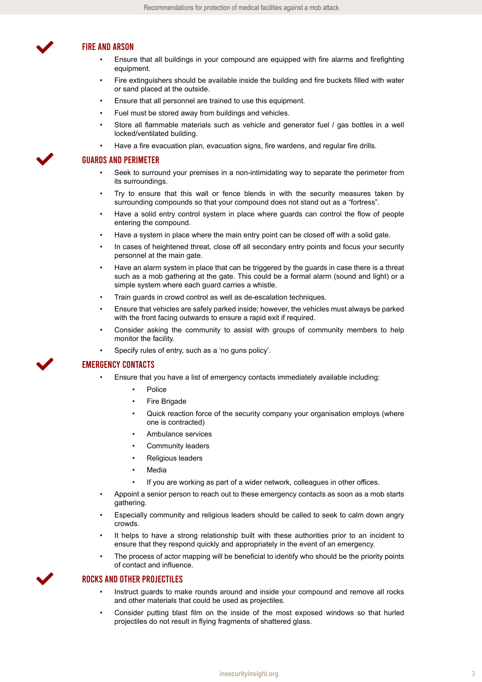

 $\blacktriangledown$ 

 $\blacktriangledown$ 

 $\checkmark$ 

#### Fire and arson

- Ensure that all buildings in your compound are equipped with fire alarms and firefighting equipment.
- Fire extinguishers should be available inside the building and fire buckets filled with water or sand placed at the outside.
- Ensure that all personnel are trained to use this equipment.
- Fuel must be stored away from buildings and vehicles.
- Store all flammable materials such as vehicle and generator fuel / gas bottles in a well locked/ventilated building.
- Have a fire evacuation plan, evacuation signs, fire wardens, and regular fire drills.

#### Guards and perimeter

- Seek to surround your premises in a non-intimidating way to separate the perimeter from its surroundings.
- Try to ensure that this wall or fence blends in with the security measures taken by surrounding compounds so that your compound does not stand out as a "fortress".
- Have a solid entry control system in place where guards can control the flow of people entering the compound.
- Have a system in place where the main entry point can be closed off with a solid gate.
- In cases of heightened threat, close off all secondary entry points and focus your security personnel at the main gate.
- Have an alarm system in place that can be triggered by the guards in case there is a threat such as a mob gathering at the gate. This could be a formal alarm (sound and light) or a simple system where each guard carries a whistle.
- Train guards in crowd control as well as de-escalation techniques.
- Ensure that vehicles are safely parked inside; however, the vehicles must always be parked with the front facing outwards to ensure a rapid exit if required.
- Consider asking the community to assist with groups of community members to help monitor the facility.
- Specify rules of entry, such as a 'no guns policy'.

#### Emergency contacts

- Ensure that you have a list of emergency contacts immediately available including:
	- **Police**
	- **Fire Brigade**
	- Quick reaction force of the security company your organisation employs (where one is contracted)
	- Ambulance services
	- Community leaders
	- Religious leaders
	- **Media** 
		- If you are working as part of a wider network, colleagues in other offices.
- Appoint a senior person to reach out to these emergency contacts as soon as a mob starts gathering.
- Especially community and religious leaders should be called to seek to calm down angry crowds.
- It helps to have a strong relationship built with these authorities prior to an incident to ensure that they respond quickly and appropriately in the event of an emergency.
- The process of actor mapping will be beneficial to identify who should be the priority points of contact and influence.

#### Rocks and other projectiles

- Instruct guards to make rounds around and inside your compound and remove all rocks and other materials that could be used as projectiles.
- Consider putting blast film on the inside of the most exposed windows so that hurled projectiles do not result in flying fragments of shattered glass.